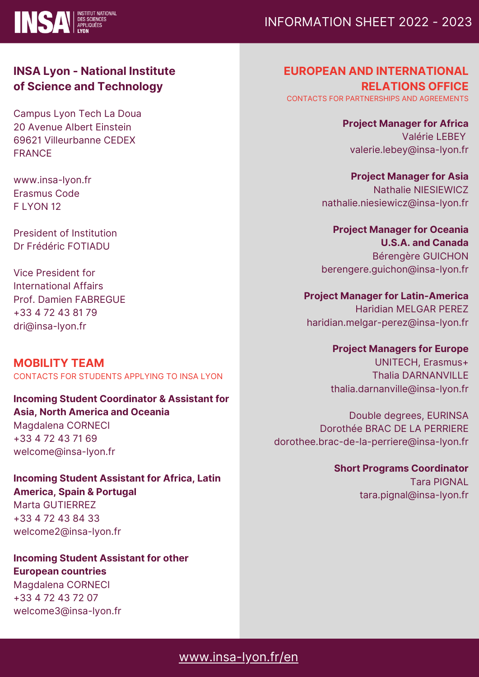

# INFORMATION SHEET 2022 - 2023

## **INSA Lyon - National Institute of Science and Technology**

Campus Lyon Tech La Doua 20 Avenue Albert Einstein 69621 Villeurbanne CEDEX FRANCE

www.insa-lyon.fr Erasmus Code F LYON 12

President of Institution Dr Frédéric FOTIADU

Vice President for International Affairs Prof. Damien FABREGUE +33 4 72 43 81 79 dri@insa-lyon.fr

**MOBILITY TEAM** CONTACTS FOR STUDENTS APPLYING TO INSA LYON

**Incoming Student Coordinator & Assistant for Asia, North America and Oceania** Magdalena CORNECI +33 4 72 43 71 69

welcome@insa-lyon.fr

**Incoming Student Assistant for Africa, Latin**

**America, Spain & Portugal** Marta GUTIERREZ +33 4 72 43 84 33 welcome2@insa-lyon.fr

**Incoming Student Assistant for other European countries**

Magdalena CORNECI +33 4 72 43 72 07 welcome3@insa-lyon.fr **EUROPEAN AND INTERNATIONAL RELATIONS OFFICE** CONTACTS FOR PARTNERSHIPS AND AGREEMENTS

**Project Manager for Africa** Valérie LEBEY valerie.lebey@insa-lyon.fr

**Project Manager for Asia** Nathalie NIESIEWICZ nathalie.niesiewicz@insa-lyon.fr

**Project Manager for Oceania U.S.A. and Canada** Bérengère GUICHON berengere.guichon@insa-lyon.fr

**Project Manager for Latin-America** Haridian MELGAR PEREZ haridian.melgar-perez@insa-lyon.fr

**Project Managers for Europe**

UNITECH, Erasmus+ Thalia DARNANVILLE thalia.darnanville@insa-lyon.fr

Double degrees, EURINSA Dorothée BRAC DE LA PERRIERE dorothee.brac-de-la-perriere@insa-lyon.fr

> **Short Programs Coordinator** Tara PIGNAL tara.pignal@insa-lyon.fr

[www.insa-lyon.fr/en](http://www.insa-lyon.fr/en)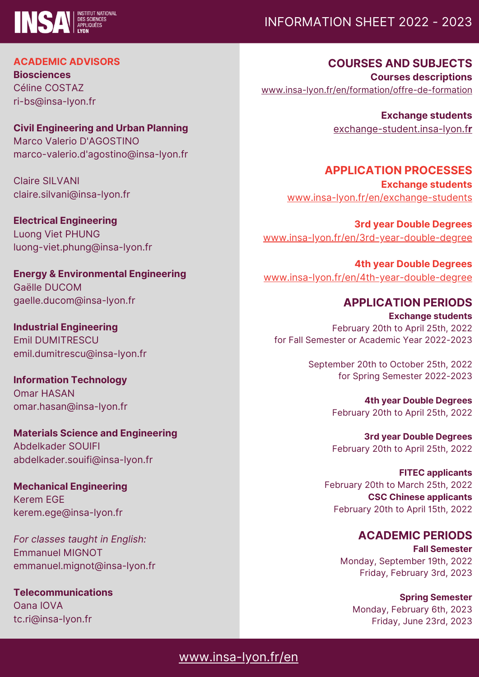

# INFORMATION SHEET 2022 - 2023

**ACADEMIC ADVISORS**

**Biosciences** Céline COSTAZ ri-bs@insa-lyon.fr

**Civil Engineering and Urban Planning** Marco Valerio D'AGOSTINO marco-valerio.d'agostino@insa-lyon.fr

Claire SILVANI claire.silvani@insa-lyon.fr

**Electrical Engineering** Luong Viet PHUNG luong-viet.phung@insa-lyon.fr

**Energy & Environmental Engineering** Gaëlle DUCOM gaelle.ducom@insa-lyon.fr

**Industrial Engineering** Emil DUMITRESCU emil.dumitrescu@insa-lyon.fr

**Information Technology** Omar HASAN omar.hasan@insa-lyon.fr

**Materials Science and Engineering** Abdelkader SOUIFI abdelkader.souifi@insa-lyon.fr

**Mechanical Engineering** Kerem EGE kerem.ege@insa-lyon.fr

*For classes taught in English:* Emmanuel MIGNOT emmanuel.mignot@insa-lyon.fr

**Telecommunications** Oana IOVA tc.ri@insa-lyon.fr

**COURSES AND SUBJECTS Courses descriptions** [www.insa-lyon.fr/en/formation/offre-de-formation](http://www.insa-lyon.fr/en/formation/offre-de-formation)

> **Exchange students** [exchange-student.insa-lyon.f](http://exchange-student.insa-lyon.fr/)**[r](http://exchange-student.insa-lyon.fr/)**

**APPLICATION PROCESSES Exchange students** [www.insa-lyon.fr/en/exchange-students](http://www.insa-lyon.fr/en/exchange-students)

**3rd year Double Degrees** [www.insa-lyon.fr/en/3rd-year-double-degree](http://www.insa-lyon.fr/en/3rd-year-double-degree)

**4th year Double Degrees** [www.insa-lyon.fr/en/4th-year-double-degree](http://www.insa-lyon.fr/en/4th-year-double-degree)

## **APPLICATION PERIODS**

**Exchange students** February 20th to April 25th, 2022 for Fall Semester or Academic Year 2022-2023

> September 20th to October 25th, 2022 for Spring Semester 2022-2023

> > **4th year Double Degrees** February 20th to April 25th, 2022

> > **3rd year Double Degrees** February 20th to April 25th, 2022

**FITEC applicants** February 20th to March 25th, 2022 **CSC Chinese applicants** February 20th to April 15th, 2022

**ACADEMIC PERIODS**

**Fall Semester** Monday, September 19th, 2022 Friday, February 3rd, 2023

**Spring Semester** Monday, February 6th, 2023 Friday, June 23rd, 2023

# [www.insa-lyon.fr/en](http://www.insa-lyon.fr/en)